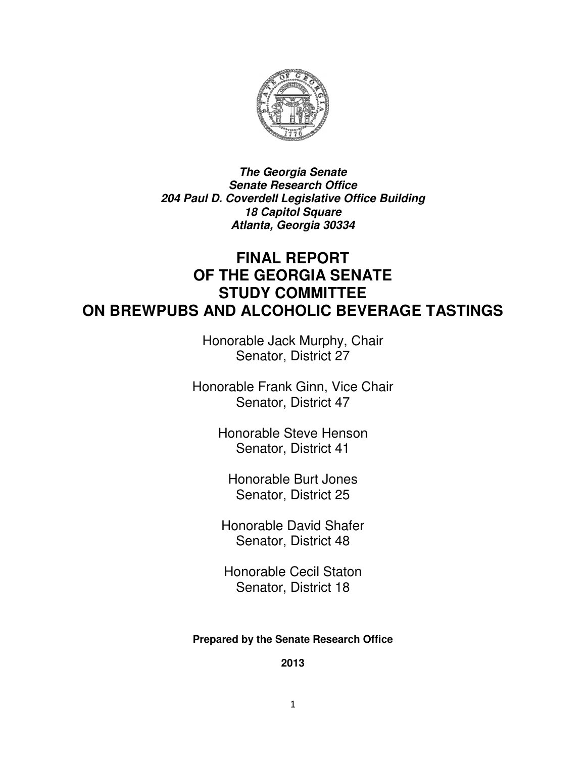

**The Georgia Senate Senate Research Office 204 Paul D. Coverdell Legislative Office Building 18 Capitol Square Atlanta, Georgia 30334** 

## **FINAL REPORT OF THE GEORGIA SENATE STUDY COMMITTEE ON BREWPUBS AND ALCOHOLIC BEVERAGE TASTINGS**

Honorable Jack Murphy, Chair Senator, District 27

Honorable Frank Ginn, Vice Chair Senator, District 47

> Honorable Steve Henson Senator, District 41

Honorable Burt Jones Senator, District 25

Honorable David Shafer Senator, District 48

Honorable Cecil Staton Senator, District 18

#### **Prepared by the Senate Research Office**

**2013**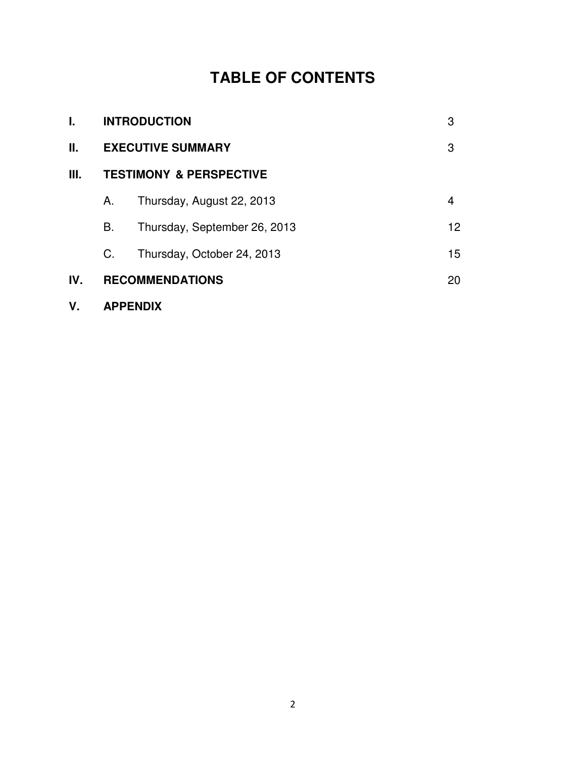# **TABLE OF CONTENTS**

| L.   | <b>INTRODUCTION</b>                |                              | 3  |
|------|------------------------------------|------------------------------|----|
| П.   | <b>EXECUTIVE SUMMARY</b>           |                              | 3  |
| III. | <b>TESTIMONY &amp; PERSPECTIVE</b> |                              |    |
|      | Α.                                 | Thursday, August 22, 2013    | 4  |
|      | В.                                 | Thursday, September 26, 2013 | 12 |
|      | C.                                 | Thursday, October 24, 2013   | 15 |
| IV.  |                                    | <b>RECOMMENDATIONS</b>       |    |
|      |                                    |                              |    |

**V. APPENDIX**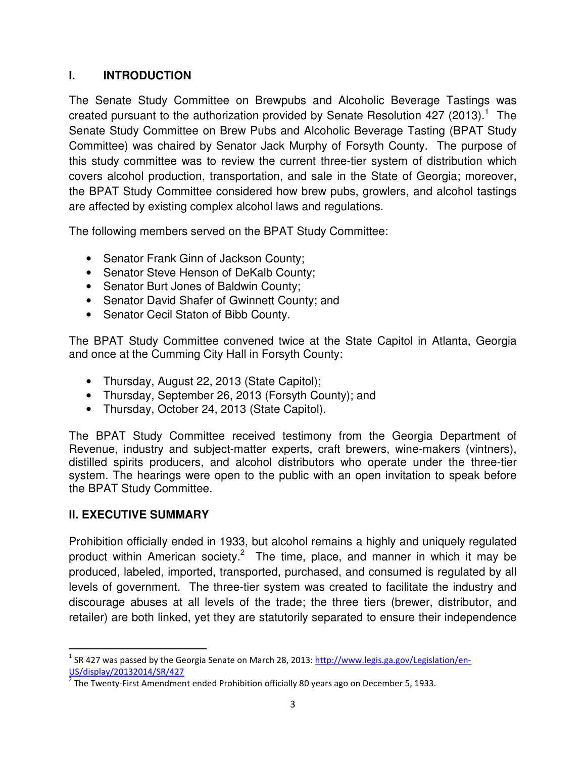#### **I. INTRODUCTION**

The Senate Study Committee on Brewpubs and Alcoholic Beverage Tastings was created pursuant to the authorization provided by Senate Resolution 427 (2013).<sup>1</sup> The Senate Study Committee on Brew Pubs and Alcoholic Beverage Tasting (BPAT Study Committee) was chaired by Senator Jack Murphy of Forsyth County. The purpose of this study committee was to review the current three-tier system of distribution which covers alcohol production, transportation, and sale in the State of Georgia; moreover, the BPAT Study Committee considered how brew pubs, growlers, and alcohol tastings are affected by existing complex alcohol laws and regulations.

The following members served on the BPAT Study Committee:

- Senator Frank Ginn of Jackson County;
- Senator Steve Henson of DeKalb County;
- Senator Burt Jones of Baldwin County;
- Senator David Shafer of Gwinnett County; and
- Senator Cecil Staton of Bibb County.

The BPAT Study Committee convened twice at the State Capitol in Atlanta, Georgia and once at the Cumming City Hall in Forsyth County:

- Thursday, August 22, 2013 (State Capitol);
- Thursday, September 26, 2013 (Forsyth County); and
- Thursday, October 24, 2013 (State Capitol).

The BPAT Study Committee received testimony from the Georgia Department of Revenue, industry and subject-matter experts, craft brewers, wine-makers (vintners), distilled spirits producers, and alcohol distributors who operate under the three-tier system. The hearings were open to the public with an open invitation to speak before the BPAT Study Committee.

#### **II. EXECUTIVE SUMMARY**

Prohibition officially ended in 1933, but alcohol remains a highly and uniquely regulated product within American society.<sup>2</sup> The time, place, and manner in which it may be produced, labeled, imported, transported, purchased, and consumed is regulated by all levels of government. The three-tier system was created to facilitate the industry and discourage abuses at all levels of the trade; the three tiers (brewer, distributor, and retailer) are both linked, yet they are statutorily separated to ensure their independence

<sup>&</sup>lt;sup>1</sup> SR 427 was passed by the Georgia Senate on March 28, 2013: http://www.legis.ga.gov/Legislation/en-US/display/20132014/SR/427

 $2$  The Twenty-First Amendment ended Prohibition officially 80 years ago on December 5, 1933.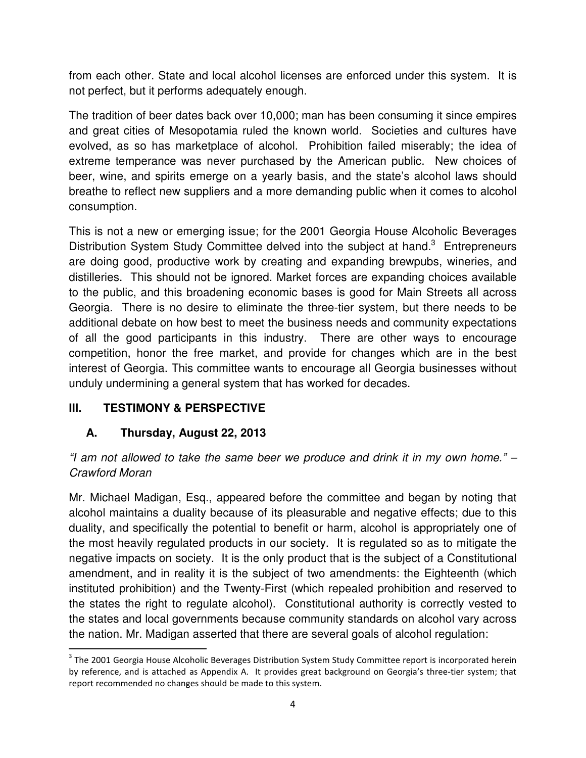from each other. State and local alcohol licenses are enforced under this system. It is not perfect, but it performs adequately enough.

The tradition of beer dates back over 10,000; man has been consuming it since empires and great cities of Mesopotamia ruled the known world. Societies and cultures have evolved, as so has marketplace of alcohol. Prohibition failed miserably; the idea of extreme temperance was never purchased by the American public. New choices of beer, wine, and spirits emerge on a yearly basis, and the state's alcohol laws should breathe to reflect new suppliers and a more demanding public when it comes to alcohol consumption.

This is not a new or emerging issue; for the 2001 Georgia House Alcoholic Beverages Distribution System Study Committee delved into the subject at hand.<sup>3</sup> Entrepreneurs are doing good, productive work by creating and expanding brewpubs, wineries, and distilleries. This should not be ignored. Market forces are expanding choices available to the public, and this broadening economic bases is good for Main Streets all across Georgia. There is no desire to eliminate the three-tier system, but there needs to be additional debate on how best to meet the business needs and community expectations of all the good participants in this industry. There are other ways to encourage competition, honor the free market, and provide for changes which are in the best interest of Georgia. This committee wants to encourage all Georgia businesses without unduly undermining a general system that has worked for decades.

#### **III. TESTIMONY & PERSPECTIVE**

### **A. Thursday, August 22, 2013**

"I am not allowed to take the same beer we produce and drink it in my own home." – Crawford Moran

Mr. Michael Madigan, Esq., appeared before the committee and began by noting that alcohol maintains a duality because of its pleasurable and negative effects; due to this duality, and specifically the potential to benefit or harm, alcohol is appropriately one of the most heavily regulated products in our society. It is regulated so as to mitigate the negative impacts on society. It is the only product that is the subject of a Constitutional amendment, and in reality it is the subject of two amendments: the Eighteenth (which instituted prohibition) and the Twenty-First (which repealed prohibition and reserved to the states the right to regulate alcohol). Constitutional authority is correctly vested to the states and local governments because community standards on alcohol vary across the nation. Mr. Madigan asserted that there are several goals of alcohol regulation:

<sup>&</sup>lt;sup>3</sup> The 2001 Georgia House Alcoholic Beverages Distribution System Study Committee report is incorporated herein by reference, and is attached as Appendix A. It provides great background on Georgia's three-tier system; that report recommended no changes should be made to this system.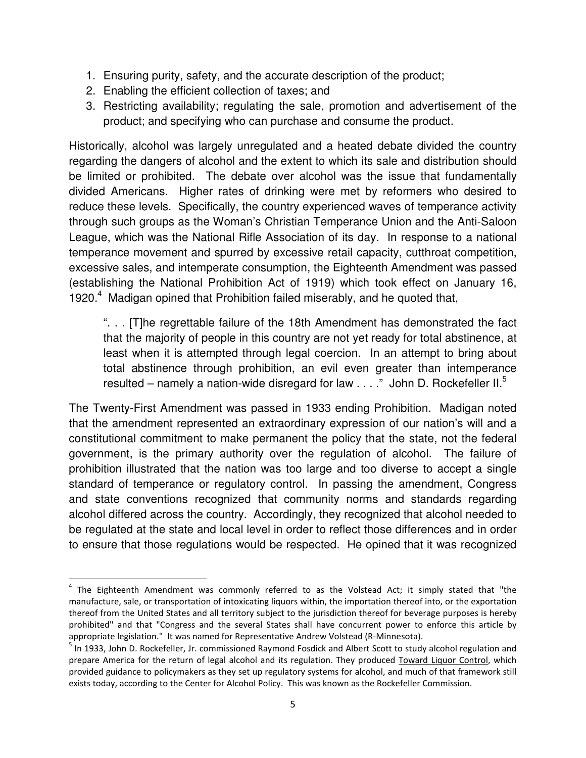- 1. Ensuring purity, safety, and the accurate description of the product;
- 2. Enabling the efficient collection of taxes; and
- 3. Restricting availability; regulating the sale, promotion and advertisement of the product; and specifying who can purchase and consume the product.

Historically, alcohol was largely unregulated and a heated debate divided the country regarding the dangers of alcohol and the extent to which its sale and distribution should be limited or prohibited. The debate over alcohol was the issue that fundamentally divided Americans. Higher rates of drinking were met by reformers who desired to reduce these levels. Specifically, the country experienced waves of temperance activity through such groups as the Woman's Christian Temperance Union and the Anti-Saloon League, which was the National Rifle Association of its day. In response to a national temperance movement and spurred by excessive retail capacity, cutthroat competition, excessive sales, and intemperate consumption, the Eighteenth Amendment was passed (establishing the National Prohibition Act of 1919) which took effect on January 16, 1920.<sup>4</sup> Madigan opined that Prohibition failed miserably, and he quoted that,

". . . [T]he regrettable failure of the 18th Amendment has demonstrated the fact that the majority of people in this country are not yet ready for total abstinence, at least when it is attempted through legal coercion. In an attempt to bring about total abstinence through prohibition, an evil even greater than intemperance resulted – namely a nation-wide disregard for law  $\dots$ ." John D. Rockefeller II.<sup>5</sup>

The Twenty-First Amendment was passed in 1933 ending Prohibition. Madigan noted that the amendment represented an extraordinary expression of our nation's will and a constitutional commitment to make permanent the policy that the state, not the federal government, is the primary authority over the regulation of alcohol. The failure of prohibition illustrated that the nation was too large and too diverse to accept a single standard of temperance or regulatory control. In passing the amendment, Congress and state conventions recognized that community norms and standards regarding alcohol differed across the country. Accordingly, they recognized that alcohol needed to be regulated at the state and local level in order to reflect those differences and in order to ensure that those regulations would be respected. He opined that it was recognized

<sup>&</sup>lt;sup>4</sup> The Eighteenth Amendment was commonly referred to as the Volstead Act; it simply stated that "the manufacture, sale, or transportation of intoxicating liquors within, the importation thereof into, or the exportation thereof from the United States and all territory subject to the jurisdiction thereof for beverage purposes is hereby prohibited" and that "Congress and the several States shall have concurrent power to enforce this article by appropriate legislation." It was named for Representative Andrew Volstead (R-Minnesota).

<sup>&</sup>lt;sup>5</sup> In 1933, John D. Rockefeller, Jr. commissioned Raymond Fosdick and Albert Scott to study alcohol regulation and prepare America for the return of legal alcohol and its regulation. They produced Toward Liquor Control, which provided guidance to policymakers as they set up regulatory systems for alcohol, and much of that framework still exists today, according to the Center for Alcohol Policy. This was known as the Rockefeller Commission.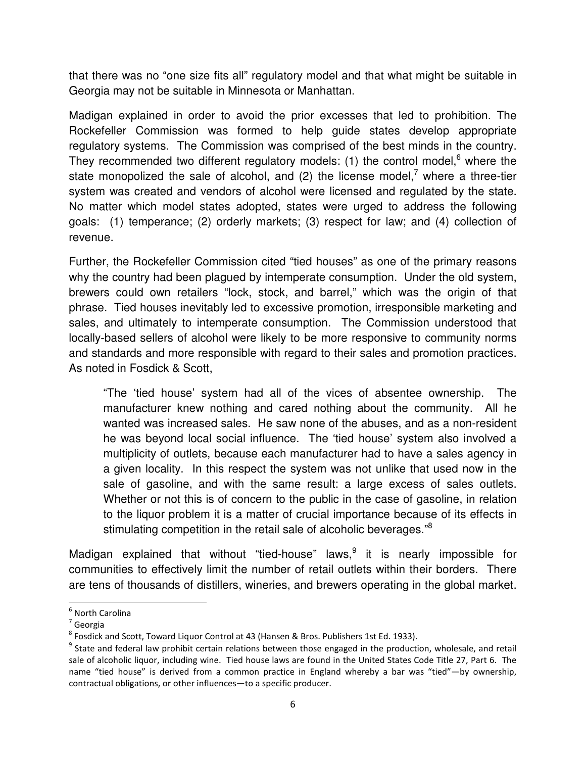that there was no "one size fits all" regulatory model and that what might be suitable in Georgia may not be suitable in Minnesota or Manhattan.

Madigan explained in order to avoid the prior excesses that led to prohibition. The Rockefeller Commission was formed to help guide states develop appropriate regulatory systems. The Commission was comprised of the best minds in the country. They recommended two different regulatory models: (1) the control model, $6$  where the state monopolized the sale of alcohol, and (2) the license model,<sup>7</sup> where a three-tier system was created and vendors of alcohol were licensed and regulated by the state. No matter which model states adopted, states were urged to address the following goals: (1) temperance; (2) orderly markets; (3) respect for law; and (4) collection of revenue.

Further, the Rockefeller Commission cited "tied houses" as one of the primary reasons why the country had been plagued by intemperate consumption. Under the old system, brewers could own retailers "lock, stock, and barrel," which was the origin of that phrase. Tied houses inevitably led to excessive promotion, irresponsible marketing and sales, and ultimately to intemperate consumption. The Commission understood that locally-based sellers of alcohol were likely to be more responsive to community norms and standards and more responsible with regard to their sales and promotion practices. As noted in Fosdick & Scott,

"The 'tied house' system had all of the vices of absentee ownership. The manufacturer knew nothing and cared nothing about the community. All he wanted was increased sales. He saw none of the abuses, and as a non-resident he was beyond local social influence. The 'tied house' system also involved a multiplicity of outlets, because each manufacturer had to have a sales agency in a given locality. In this respect the system was not unlike that used now in the sale of gasoline, and with the same result: a large excess of sales outlets. Whether or not this is of concern to the public in the case of gasoline, in relation to the liquor problem it is a matter of crucial importance because of its effects in stimulating competition in the retail sale of alcoholic beverages."<sup>8</sup>

Madigan explained that without "tied-house" laws, $9$  it is nearly impossible for communities to effectively limit the number of retail outlets within their borders. There are tens of thousands of distillers, wineries, and brewers operating in the global market.

<sup>&</sup>lt;sup>6</sup> North Carolina

<sup>7</sup> Georgia

<sup>&</sup>lt;sup>8</sup> Fosdick and Scott, Toward Liquor Control at 43 (Hansen & Bros. Publishers 1st Ed. 1933).

<sup>&</sup>lt;sup>9</sup> State and federal law prohibit certain relations between those engaged in the production, wholesale, and retail sale of alcoholic liquor, including wine. Tied house laws are found in the United States Code Title 27, Part 6. The name "tied house" is derived from a common practice in England whereby a bar was "tied"—by ownership, contractual obligations, or other influences—to a specific producer.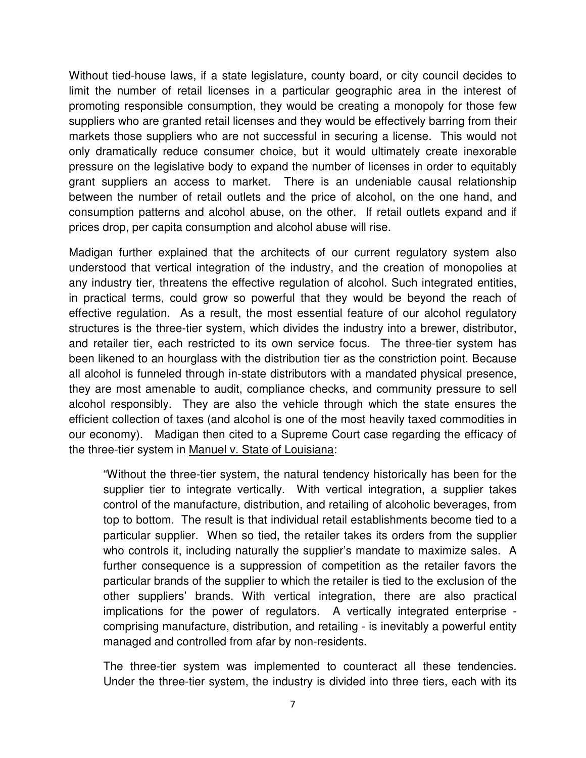Without tied-house laws, if a state legislature, county board, or city council decides to limit the number of retail licenses in a particular geographic area in the interest of promoting responsible consumption, they would be creating a monopoly for those few suppliers who are granted retail licenses and they would be effectively barring from their markets those suppliers who are not successful in securing a license. This would not only dramatically reduce consumer choice, but it would ultimately create inexorable pressure on the legislative body to expand the number of licenses in order to equitably grant suppliers an access to market. There is an undeniable causal relationship between the number of retail outlets and the price of alcohol, on the one hand, and consumption patterns and alcohol abuse, on the other. If retail outlets expand and if prices drop, per capita consumption and alcohol abuse will rise.

Madigan further explained that the architects of our current regulatory system also understood that vertical integration of the industry, and the creation of monopolies at any industry tier, threatens the effective regulation of alcohol. Such integrated entities, in practical terms, could grow so powerful that they would be beyond the reach of effective regulation. As a result, the most essential feature of our alcohol regulatory structures is the three-tier system, which divides the industry into a brewer, distributor, and retailer tier, each restricted to its own service focus. The three-tier system has been likened to an hourglass with the distribution tier as the constriction point. Because all alcohol is funneled through in-state distributors with a mandated physical presence, they are most amenable to audit, compliance checks, and community pressure to sell alcohol responsibly. They are also the vehicle through which the state ensures the efficient collection of taxes (and alcohol is one of the most heavily taxed commodities in our economy). Madigan then cited to a Supreme Court case regarding the efficacy of the three-tier system in Manuel v. State of Louisiana:

"Without the three-tier system, the natural tendency historically has been for the supplier tier to integrate vertically. With vertical integration, a supplier takes control of the manufacture, distribution, and retailing of alcoholic beverages, from top to bottom. The result is that individual retail establishments become tied to a particular supplier. When so tied, the retailer takes its orders from the supplier who controls it, including naturally the supplier's mandate to maximize sales. A further consequence is a suppression of competition as the retailer favors the particular brands of the supplier to which the retailer is tied to the exclusion of the other suppliers' brands. With vertical integration, there are also practical implications for the power of regulators. A vertically integrated enterprise comprising manufacture, distribution, and retailing - is inevitably a powerful entity managed and controlled from afar by non-residents.

The three-tier system was implemented to counteract all these tendencies. Under the three-tier system, the industry is divided into three tiers, each with its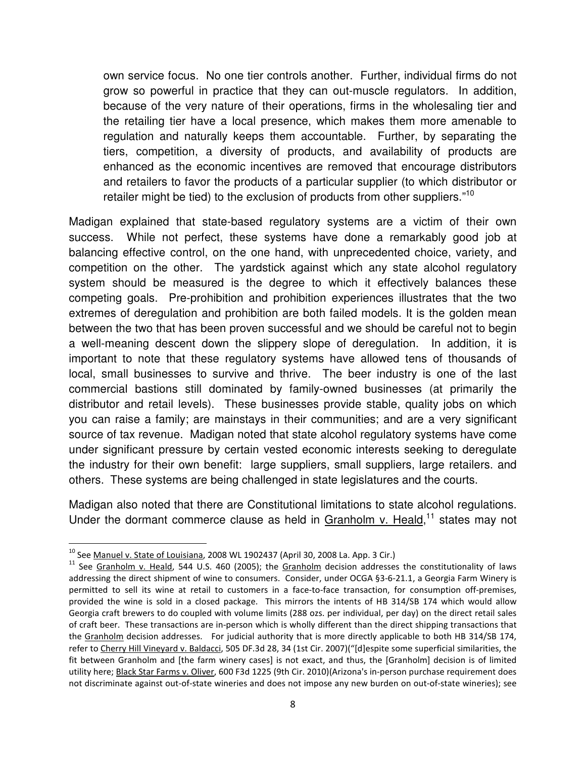own service focus. No one tier controls another. Further, individual firms do not grow so powerful in practice that they can out-muscle regulators. In addition, because of the very nature of their operations, firms in the wholesaling tier and the retailing tier have a local presence, which makes them more amenable to regulation and naturally keeps them accountable. Further, by separating the tiers, competition, a diversity of products, and availability of products are enhanced as the economic incentives are removed that encourage distributors and retailers to favor the products of a particular supplier (to which distributor or retailer might be tied) to the exclusion of products from other suppliers."<sup>10</sup>

Madigan explained that state-based regulatory systems are a victim of their own success. While not perfect, these systems have done a remarkably good job at balancing effective control, on the one hand, with unprecedented choice, variety, and competition on the other. The yardstick against which any state alcohol regulatory system should be measured is the degree to which it effectively balances these competing goals. Pre-prohibition and prohibition experiences illustrates that the two extremes of deregulation and prohibition are both failed models. It is the golden mean between the two that has been proven successful and we should be careful not to begin a well-meaning descent down the slippery slope of deregulation. In addition, it is important to note that these regulatory systems have allowed tens of thousands of local, small businesses to survive and thrive. The beer industry is one of the last commercial bastions still dominated by family-owned businesses (at primarily the distributor and retail levels). These businesses provide stable, quality jobs on which you can raise a family; are mainstays in their communities; and are a very significant source of tax revenue. Madigan noted that state alcohol regulatory systems have come under significant pressure by certain vested economic interests seeking to deregulate the industry for their own benefit: large suppliers, small suppliers, large retailers. and others. These systems are being challenged in state legislatures and the courts.

Madigan also noted that there are Constitutional limitations to state alcohol regulations. Under the dormant commerce clause as held in Granholm v. Heald, $11$  states may not

 $10$  See Manuel v. State of Louisiana, 2008 WL 1902437 (April 30, 2008 La. App. 3 Cir.)

<sup>&</sup>lt;sup>11</sup> See Granholm v. Heald, 544 U.S. 460 (2005); the Granholm decision addresses the constitutionality of laws addressing the direct shipment of wine to consumers. Consider, under OCGA §3-6-21.1, a Georgia Farm Winery is permitted to sell its wine at retail to customers in a face-to-face transaction, for consumption off-premises, provided the wine is sold in a closed package. This mirrors the intents of HB 314/SB 174 which would allow Georgia craft brewers to do coupled with volume limits (288 ozs. per individual, per day) on the direct retail sales of craft beer. These transactions are in-person which is wholly different than the direct shipping transactions that the Granholm decision addresses. For judicial authority that is more directly applicable to both HB 314/SB 174, refer to Cherry Hill Vineyard v. Baldacci, 505 DF.3d 28, 34 (1st Cir. 2007)("[d]espite some superficial similarities, the fit between Granholm and [the farm winery cases] is not exact, and thus, the [Granholm] decision is of limited utility here; Black Star Farms v. Oliver, 600 F3d 1225 (9th Cir. 2010)(Arizona's in-person purchase requirement does not discriminate against out-of-state wineries and does not impose any new burden on out-of-state wineries); see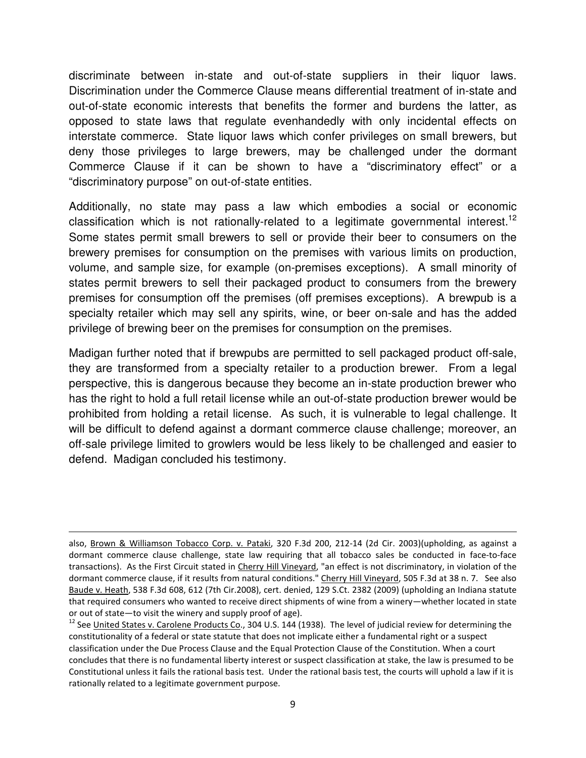discriminate between in-state and out-of-state suppliers in their liquor laws. Discrimination under the Commerce Clause means differential treatment of in-state and out-of-state economic interests that benefits the former and burdens the latter, as opposed to state laws that regulate evenhandedly with only incidental effects on interstate commerce. State liquor laws which confer privileges on small brewers, but deny those privileges to large brewers, may be challenged under the dormant Commerce Clause if it can be shown to have a "discriminatory effect" or a "discriminatory purpose" on out-of-state entities.

Additionally, no state may pass a law which embodies a social or economic classification which is not rationally-related to a legitimate governmental interest.<sup>12</sup> Some states permit small brewers to sell or provide their beer to consumers on the brewery premises for consumption on the premises with various limits on production, volume, and sample size, for example (on-premises exceptions). A small minority of states permit brewers to sell their packaged product to consumers from the brewery premises for consumption off the premises (off premises exceptions). A brewpub is a specialty retailer which may sell any spirits, wine, or beer on-sale and has the added privilege of brewing beer on the premises for consumption on the premises.

Madigan further noted that if brewpubs are permitted to sell packaged product off-sale, they are transformed from a specialty retailer to a production brewer. From a legal perspective, this is dangerous because they become an in-state production brewer who has the right to hold a full retail license while an out-of-state production brewer would be prohibited from holding a retail license. As such, it is vulnerable to legal challenge. It will be difficult to defend against a dormant commerce clause challenge; moreover, an off-sale privilege limited to growlers would be less likely to be challenged and easier to defend. Madigan concluded his testimony.

also, Brown & Williamson Tobacco Corp. v. Pataki, 320 F.3d 200, 212-14 (2d Cir. 2003)(upholding, as against a dormant commerce clause challenge, state law requiring that all tobacco sales be conducted in face-to-face transactions). As the First Circuit stated in Cherry Hill Vineyard, "an effect is not discriminatory, in violation of the dormant commerce clause, if it results from natural conditions." Cherry Hill Vineyard, 505 F.3d at 38 n. 7. See also Baude v. Heath, 538 F.3d 608, 612 (7th Cir.2008), cert. denied, 129 S.Ct. 2382 (2009) (upholding an Indiana statute that required consumers who wanted to receive direct shipments of wine from a winery—whether located in state or out of state—to visit the winery and supply proof of age).

 $12$  See United States v. Carolene Products Co., 304 U.S. 144 (1938). The level of judicial review for determining the constitutionality of a federal or state statute that does not implicate either a fundamental right or a suspect classification under the Due Process Clause and the Equal Protection Clause of the Constitution. When a court concludes that there is no fundamental liberty interest or suspect classification at stake, the law is presumed to be Constitutional unless it fails the rational basis test. Under the rational basis test, the courts will uphold a law if it is rationally related to a legitimate government purpose.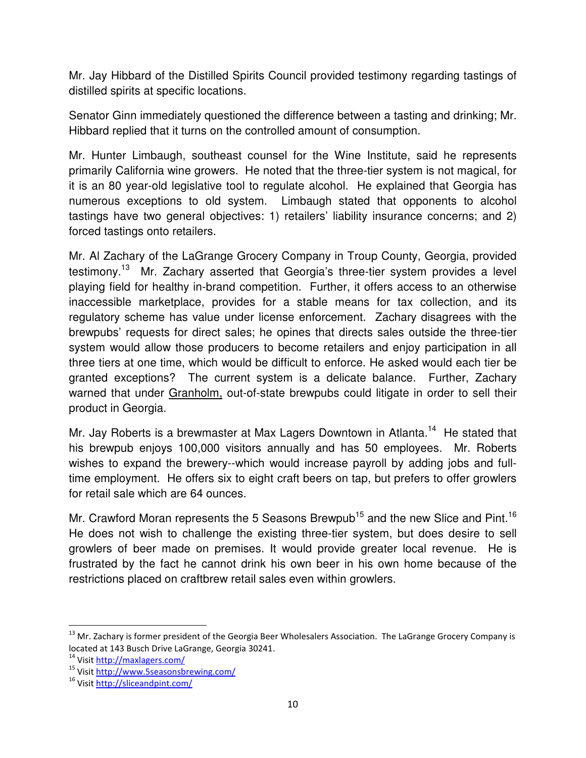Mr. Jay Hibbard of the Distilled Spirits Council provided testimony regarding tastings of distilled spirits at specific locations.

Senator Ginn immediately questioned the difference between a tasting and drinking; Mr. Hibbard replied that it turns on the controlled amount of consumption.

Mr. Hunter Limbaugh, southeast counsel for the Wine Institute, said he represents primarily California wine growers. He noted that the three-tier system is not magical, for it is an 80 year-old legislative tool to regulate alcohol. He explained that Georgia has numerous exceptions to old system. Limbaugh stated that opponents to alcohol tastings have two general objectives: 1) retailers' liability insurance concerns; and 2) forced tastings onto retailers.

Mr. Al Zachary of the LaGrange Grocery Company in Troup County, Georgia, provided testimony.<sup>13</sup> Mr. Zachary asserted that Georgia's three-tier system provides a level playing field for healthy in-brand competition. Further, it offers access to an otherwise inaccessible marketplace, provides for a stable means for tax collection, and its regulatory scheme has value under license enforcement. Zachary disagrees with the brewpubs' requests for direct sales; he opines that directs sales outside the three-tier system would allow those producers to become retailers and enjoy participation in all three tiers at one time, which would be difficult to enforce. He asked would each tier be granted exceptions? The current system is a delicate balance. Further, Zachary warned that under Granholm, out-of-state brewpubs could litigate in order to sell their product in Georgia.

Mr. Jay Roberts is a brewmaster at Max Lagers Downtown in Atlanta.<sup>14</sup> He stated that his brewpub enjoys 100,000 visitors annually and has 50 employees. Mr. Roberts wishes to expand the brewery--which would increase payroll by adding jobs and fulltime employment. He offers six to eight craft beers on tap, but prefers to offer growlers for retail sale which are 64 ounces.

Mr. Crawford Moran represents the 5 Seasons Brewpub<sup>15</sup> and the new Slice and Pint.<sup>16</sup> He does not wish to challenge the existing three-tier system, but does desire to sell growlers of beer made on premises. It would provide greater local revenue. He is frustrated by the fact he cannot drink his own beer in his own home because of the restrictions placed on craftbrew retail sales even within growlers.

<sup>&</sup>lt;sup>13</sup> Mr. Zachary is former president of the Georgia Beer Wholesalers Association. The LaGrange Grocery Company is located at 143 Busch Drive LaGrange, Georgia 30241.

<sup>14</sup> Visit http://maxlagers.com/

<sup>15</sup> Visit http://www.5seasonsbrewing.com/

<sup>16</sup> Visit http://sliceandpint.com/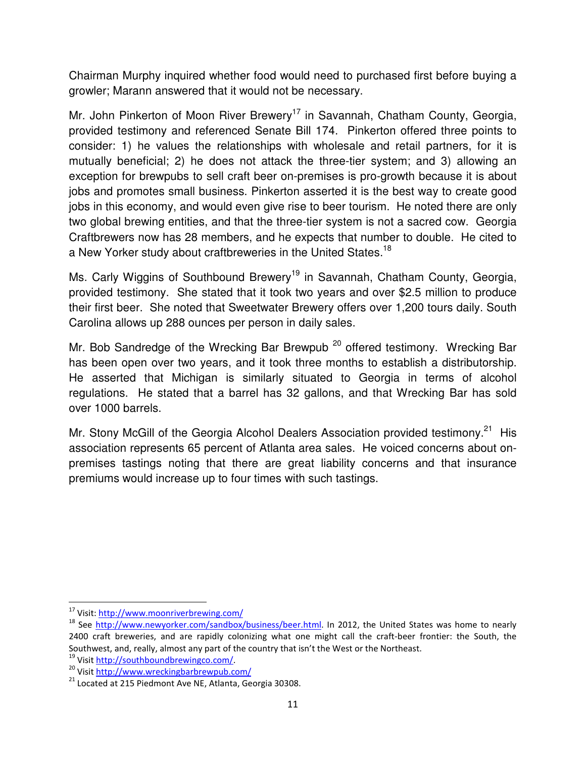Chairman Murphy inquired whether food would need to purchased first before buying a growler; Marann answered that it would not be necessary.

Mr. John Pinkerton of Moon River Brewery<sup>17</sup> in Savannah, Chatham County, Georgia, provided testimony and referenced Senate Bill 174. Pinkerton offered three points to consider: 1) he values the relationships with wholesale and retail partners, for it is mutually beneficial; 2) he does not attack the three-tier system; and 3) allowing an exception for brewpubs to sell craft beer on-premises is pro-growth because it is about jobs and promotes small business. Pinkerton asserted it is the best way to create good jobs in this economy, and would even give rise to beer tourism. He noted there are only two global brewing entities, and that the three-tier system is not a sacred cow. Georgia Craftbrewers now has 28 members, and he expects that number to double. He cited to a New Yorker study about craftbreweries in the United States.<sup>18</sup>

Ms. Carly Wiggins of Southbound Brewery<sup>19</sup> in Savannah, Chatham County, Georgia, provided testimony. She stated that it took two years and over \$2.5 million to produce their first beer. She noted that Sweetwater Brewery offers over 1,200 tours daily. South Carolina allows up 288 ounces per person in daily sales.

Mr. Bob Sandredge of the Wrecking Bar Brewpub<sup>20</sup> offered testimony. Wrecking Bar has been open over two years, and it took three months to establish a distributorship. He asserted that Michigan is similarly situated to Georgia in terms of alcohol regulations. He stated that a barrel has 32 gallons, and that Wrecking Bar has sold over 1000 barrels.

Mr. Stony McGill of the Georgia Alcohol Dealers Association provided testimony.<sup>21</sup> His association represents 65 percent of Atlanta area sales. He voiced concerns about onpremises tastings noting that there are great liability concerns and that insurance premiums would increase up to four times with such tastings.

<sup>17</sup> Visit: http://www.moonriverbrewing.com/

<sup>&</sup>lt;sup>18</sup> See http://www.newyorker.com/sandbox/business/beer.html. In 2012, the United States was home to nearly 2400 craft breweries, and are rapidly colonizing what one might call the craft-beer frontier: the South, the Southwest, and, really, almost any part of the country that isn't the West or the Northeast.

<sup>&</sup>lt;sup>19</sup> Visit http://southboundbrewingco.com/

<sup>20</sup> Visit http://www.wreckingbarbrewpub.com/

 $21$  Located at 215 Piedmont Ave NE, Atlanta, Georgia 30308.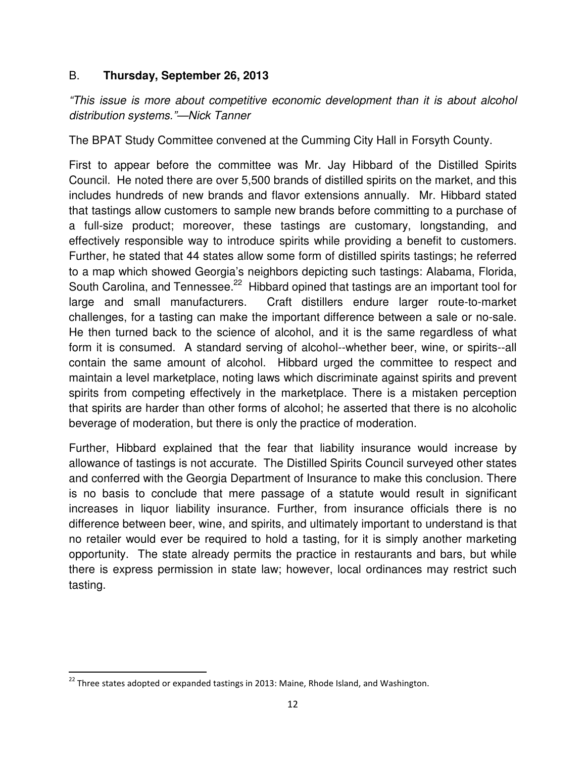#### B. **Thursday, September 26, 2013**

"This issue is more about competitive economic development than it is about alcohol distribution systems."—Nick Tanner

The BPAT Study Committee convened at the Cumming City Hall in Forsyth County.

First to appear before the committee was Mr. Jay Hibbard of the Distilled Spirits Council. He noted there are over 5,500 brands of distilled spirits on the market, and this includes hundreds of new brands and flavor extensions annually. Mr. Hibbard stated that tastings allow customers to sample new brands before committing to a purchase of a full-size product; moreover, these tastings are customary, longstanding, and effectively responsible way to introduce spirits while providing a benefit to customers. Further, he stated that 44 states allow some form of distilled spirits tastings; he referred to a map which showed Georgia's neighbors depicting such tastings: Alabama, Florida, South Carolina, and Tennessee.<sup>22</sup> Hibbard opined that tastings are an important tool for large and small manufacturers. Craft distillers endure larger route-to-market challenges, for a tasting can make the important difference between a sale or no-sale. He then turned back to the science of alcohol, and it is the same regardless of what form it is consumed. A standard serving of alcohol--whether beer, wine, or spirits--all contain the same amount of alcohol. Hibbard urged the committee to respect and maintain a level marketplace, noting laws which discriminate against spirits and prevent spirits from competing effectively in the marketplace. There is a mistaken perception that spirits are harder than other forms of alcohol; he asserted that there is no alcoholic beverage of moderation, but there is only the practice of moderation.

Further, Hibbard explained that the fear that liability insurance would increase by allowance of tastings is not accurate. The Distilled Spirits Council surveyed other states and conferred with the Georgia Department of Insurance to make this conclusion. There is no basis to conclude that mere passage of a statute would result in significant increases in liquor liability insurance. Further, from insurance officials there is no difference between beer, wine, and spirits, and ultimately important to understand is that no retailer would ever be required to hold a tasting, for it is simply another marketing opportunity. The state already permits the practice in restaurants and bars, but while there is express permission in state law; however, local ordinances may restrict such tasting.

<sup>&</sup>lt;sup>22</sup> Three states adopted or expanded tastings in 2013: Maine, Rhode Island, and Washington.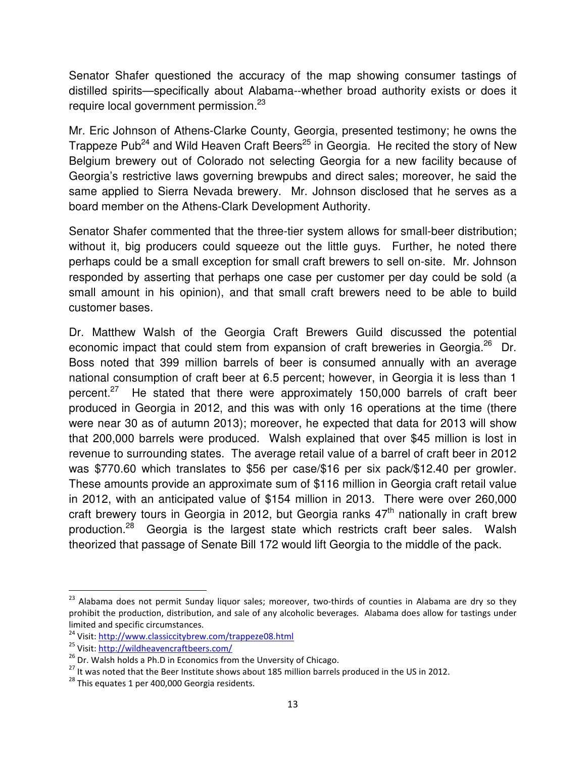Senator Shafer questioned the accuracy of the map showing consumer tastings of distilled spirits—specifically about Alabama--whether broad authority exists or does it require local government permission.<sup>23</sup>

Mr. Eric Johnson of Athens-Clarke County, Georgia, presented testimony; he owns the Trappeze Pub<sup>24</sup> and Wild Heaven Craft Beers<sup>25</sup> in Georgia. He recited the story of New Belgium brewery out of Colorado not selecting Georgia for a new facility because of Georgia's restrictive laws governing brewpubs and direct sales; moreover, he said the same applied to Sierra Nevada brewery. Mr. Johnson disclosed that he serves as a board member on the Athens-Clark Development Authority.

Senator Shafer commented that the three-tier system allows for small-beer distribution; without it, big producers could squeeze out the little guys. Further, he noted there perhaps could be a small exception for small craft brewers to sell on-site. Mr. Johnson responded by asserting that perhaps one case per customer per day could be sold (a small amount in his opinion), and that small craft brewers need to be able to build customer bases.

Dr. Matthew Walsh of the Georgia Craft Brewers Guild discussed the potential economic impact that could stem from expansion of craft breweries in Georgia.<sup>26</sup> Dr. Boss noted that 399 million barrels of beer is consumed annually with an average national consumption of craft beer at 6.5 percent; however, in Georgia it is less than 1 percent.<sup>27</sup> He stated that there were approximately 150,000 barrels of craft beer produced in Georgia in 2012, and this was with only 16 operations at the time (there were near 30 as of autumn 2013); moreover, he expected that data for 2013 will show that 200,000 barrels were produced. Walsh explained that over \$45 million is lost in revenue to surrounding states. The average retail value of a barrel of craft beer in 2012 was \$770.60 which translates to \$56 per case/\$16 per six pack/\$12.40 per growler. These amounts provide an approximate sum of \$116 million in Georgia craft retail value in 2012, with an anticipated value of \$154 million in 2013. There were over 260,000 craft brewery tours in Georgia in 2012, but Georgia ranks  $47<sup>th</sup>$  nationally in craft brew production.<sup>28</sup> Georgia is the largest state which restricts craft beer sales. Walsh theorized that passage of Senate Bill 172 would lift Georgia to the middle of the pack.

 $\overline{a}$ 

<sup>&</sup>lt;sup>23</sup> Alabama does not permit Sunday liquor sales; moreover, two-thirds of counties in Alabama are dry so they prohibit the production, distribution, and sale of any alcoholic beverages. Alabama does allow for tastings under limited and specific circumstances.

<sup>24</sup> Visit: http://www.classiccitybrew.com/trappeze08.html

<sup>&</sup>lt;sup>25</sup> Visit: http://wildheavencraftbeers.com/

 $26$  Dr. Walsh holds a Ph.D in Economics from the Unversity of Chicago.

<sup>&</sup>lt;sup>27</sup> It was noted that the Beer Institute shows about 185 million barrels produced in the US in 2012.

<sup>&</sup>lt;sup>28</sup> This equates 1 per 400,000 Georgia residents.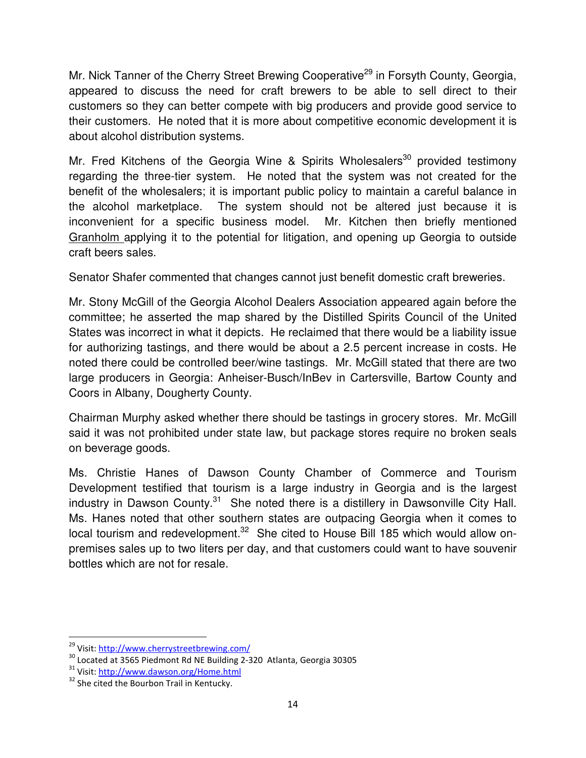Mr. Nick Tanner of the Cherry Street Brewing Cooperative<sup>29</sup> in Forsyth County, Georgia, appeared to discuss the need for craft brewers to be able to sell direct to their customers so they can better compete with big producers and provide good service to their customers. He noted that it is more about competitive economic development it is about alcohol distribution systems.

Mr. Fred Kitchens of the Georgia Wine & Spirits Wholesalers<sup>30</sup> provided testimony regarding the three-tier system. He noted that the system was not created for the benefit of the wholesalers; it is important public policy to maintain a careful balance in the alcohol marketplace. The system should not be altered just because it is inconvenient for a specific business model. Mr. Kitchen then briefly mentioned Granholm applying it to the potential for litigation, and opening up Georgia to outside craft beers sales.

Senator Shafer commented that changes cannot just benefit domestic craft breweries.

Mr. Stony McGill of the Georgia Alcohol Dealers Association appeared again before the committee; he asserted the map shared by the Distilled Spirits Council of the United States was incorrect in what it depicts. He reclaimed that there would be a liability issue for authorizing tastings, and there would be about a 2.5 percent increase in costs. He noted there could be controlled beer/wine tastings. Mr. McGill stated that there are two large producers in Georgia: Anheiser-Busch/InBev in Cartersville, Bartow County and Coors in Albany, Dougherty County.

Chairman Murphy asked whether there should be tastings in grocery stores. Mr. McGill said it was not prohibited under state law, but package stores require no broken seals on beverage goods.

Ms. Christie Hanes of Dawson County Chamber of Commerce and Tourism Development testified that tourism is a large industry in Georgia and is the largest industry in Dawson County. $31$  She noted there is a distillery in Dawsonville City Hall. Ms. Hanes noted that other southern states are outpacing Georgia when it comes to local tourism and redevelopment.<sup>32</sup> She cited to House Bill 185 which would allow onpremises sales up to two liters per day, and that customers could want to have souvenir bottles which are not for resale.

 $\overline{a}$ 

<sup>&</sup>lt;sup>29</sup> Visit: http://www.cherrystreetbrewing.com/

<sup>30</sup> Located at 3565 Piedmont Rd NE Building 2-320 Atlanta, Georgia 30305

<sup>31</sup> Visit: http://www.dawson.org/Home.html

<sup>&</sup>lt;sup>32</sup> She cited the Bourbon Trail in Kentucky.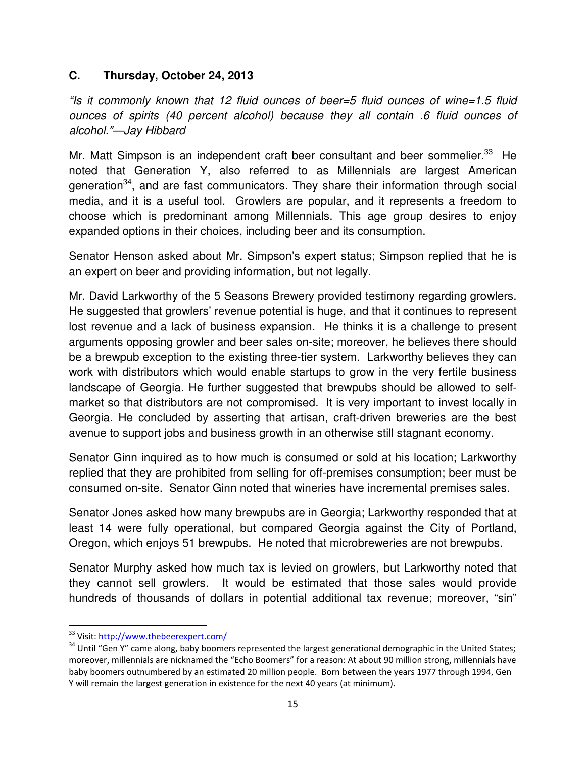#### **C. Thursday, October 24, 2013**

"Is it commonly known that 12 fluid ounces of beer=5 fluid ounces of wine=1.5 fluid ounces of spirits (40 percent alcohol) because they all contain .6 fluid ounces of alcohol."—Jay Hibbard

Mr. Matt Simpson is an independent craft beer consultant and beer sommelier.<sup>33</sup> He noted that Generation Y, also referred to as Millennials are largest American generation<sup>34</sup>, and are fast communicators. They share their information through social media, and it is a useful tool. Growlers are popular, and it represents a freedom to choose which is predominant among Millennials. This age group desires to enjoy expanded options in their choices, including beer and its consumption.

Senator Henson asked about Mr. Simpson's expert status; Simpson replied that he is an expert on beer and providing information, but not legally.

Mr. David Larkworthy of the 5 Seasons Brewery provided testimony regarding growlers. He suggested that growlers' revenue potential is huge, and that it continues to represent lost revenue and a lack of business expansion. He thinks it is a challenge to present arguments opposing growler and beer sales on-site; moreover, he believes there should be a brewpub exception to the existing three-tier system. Larkworthy believes they can work with distributors which would enable startups to grow in the very fertile business landscape of Georgia. He further suggested that brewpubs should be allowed to selfmarket so that distributors are not compromised. It is very important to invest locally in Georgia. He concluded by asserting that artisan, craft-driven breweries are the best avenue to support jobs and business growth in an otherwise still stagnant economy.

Senator Ginn inquired as to how much is consumed or sold at his location; Larkworthy replied that they are prohibited from selling for off-premises consumption; beer must be consumed on-site. Senator Ginn noted that wineries have incremental premises sales.

Senator Jones asked how many brewpubs are in Georgia; Larkworthy responded that at least 14 were fully operational, but compared Georgia against the City of Portland, Oregon, which enjoys 51 brewpubs. He noted that microbreweries are not brewpubs.

Senator Murphy asked how much tax is levied on growlers, but Larkworthy noted that they cannot sell growlers. It would be estimated that those sales would provide hundreds of thousands of dollars in potential additional tax revenue; moreover, "sin"

<sup>&</sup>lt;sup>33</sup> Visit: http://www.thebeerexpert.com/

<sup>&</sup>lt;sup>34</sup> Until "Gen Y" came along, baby boomers represented the largest generational demographic in the United States; moreover, millennials are nicknamed the "Echo Boomers" for a reason: At about 90 million strong, millennials have baby boomers outnumbered by an estimated 20 million people. Born between the years 1977 through 1994, Gen Y will remain the largest generation in existence for the next 40 years (at minimum).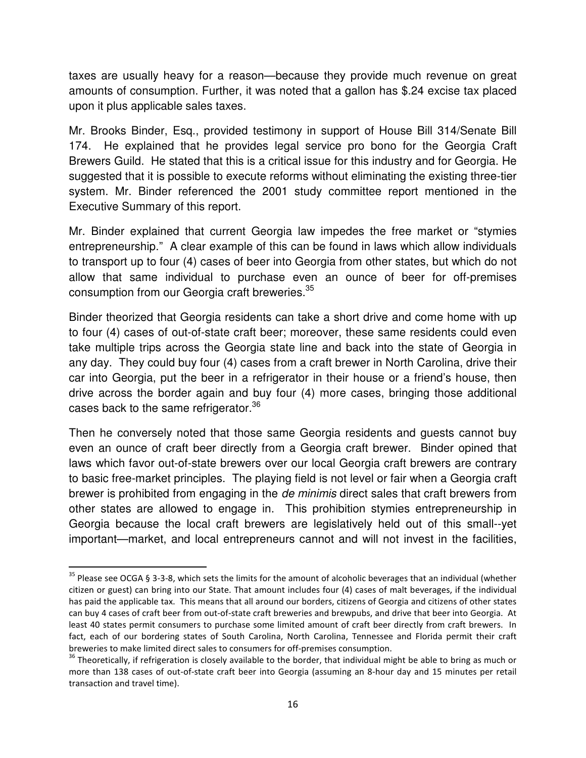taxes are usually heavy for a reason—because they provide much revenue on great amounts of consumption. Further, it was noted that a gallon has \$.24 excise tax placed upon it plus applicable sales taxes.

Mr. Brooks Binder, Esq., provided testimony in support of House Bill 314/Senate Bill 174. He explained that he provides legal service pro bono for the Georgia Craft Brewers Guild. He stated that this is a critical issue for this industry and for Georgia. He suggested that it is possible to execute reforms without eliminating the existing three-tier system. Mr. Binder referenced the 2001 study committee report mentioned in the Executive Summary of this report.

Mr. Binder explained that current Georgia law impedes the free market or "stymies entrepreneurship." A clear example of this can be found in laws which allow individuals to transport up to four (4) cases of beer into Georgia from other states, but which do not allow that same individual to purchase even an ounce of beer for off-premises consumption from our Georgia craft breweries.<sup>35</sup>

Binder theorized that Georgia residents can take a short drive and come home with up to four (4) cases of out-of-state craft beer; moreover, these same residents could even take multiple trips across the Georgia state line and back into the state of Georgia in any day. They could buy four (4) cases from a craft brewer in North Carolina, drive their car into Georgia, put the beer in a refrigerator in their house or a friend's house, then drive across the border again and buy four (4) more cases, bringing those additional cases back to the same refrigerator.<sup>36</sup>

Then he conversely noted that those same Georgia residents and guests cannot buy even an ounce of craft beer directly from a Georgia craft brewer. Binder opined that laws which favor out-of-state brewers over our local Georgia craft brewers are contrary to basic free-market principles. The playing field is not level or fair when a Georgia craft brewer is prohibited from engaging in the *de minimis* direct sales that craft brewers from other states are allowed to engage in. This prohibition stymies entrepreneurship in Georgia because the local craft brewers are legislatively held out of this small--yet important—market, and local entrepreneurs cannot and will not invest in the facilities,

 $\overline{a}$ 

 $35$  Please see OCGA § 3-3-8, which sets the limits for the amount of alcoholic beverages that an individual (whether citizen or guest) can bring into our State. That amount includes four (4) cases of malt beverages, if the individual has paid the applicable tax. This means that all around our borders, citizens of Georgia and citizens of other states can buy 4 cases of craft beer from out-of-state craft breweries and brewpubs, and drive that beer into Georgia. At least 40 states permit consumers to purchase some limited amount of craft beer directly from craft brewers. In fact, each of our bordering states of South Carolina, North Carolina, Tennessee and Florida permit their craft breweries to make limited direct sales to consumers for off-premises consumption.

 $36$  Theoretically, if refrigeration is closely available to the border, that individual might be able to bring as much or more than 138 cases of out-of-state craft beer into Georgia (assuming an 8-hour day and 15 minutes per retail transaction and travel time).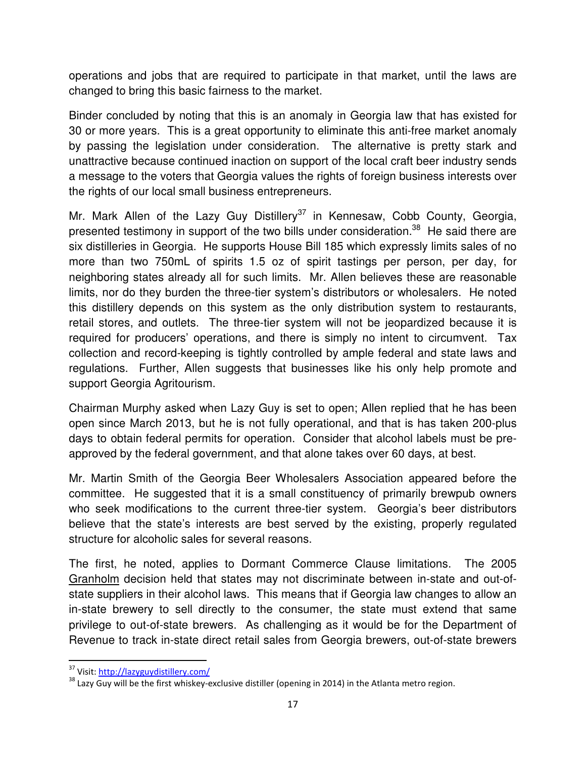operations and jobs that are required to participate in that market, until the laws are changed to bring this basic fairness to the market.

Binder concluded by noting that this is an anomaly in Georgia law that has existed for 30 or more years. This is a great opportunity to eliminate this anti-free market anomaly by passing the legislation under consideration. The alternative is pretty stark and unattractive because continued inaction on support of the local craft beer industry sends a message to the voters that Georgia values the rights of foreign business interests over the rights of our local small business entrepreneurs.

Mr. Mark Allen of the Lazy Guy Distillery<sup>37</sup> in Kennesaw, Cobb County, Georgia, presented testimony in support of the two bills under consideration.<sup>38</sup> He said there are six distilleries in Georgia. He supports House Bill 185 which expressly limits sales of no more than two 750mL of spirits 1.5 oz of spirit tastings per person, per day, for neighboring states already all for such limits. Mr. Allen believes these are reasonable limits, nor do they burden the three-tier system's distributors or wholesalers. He noted this distillery depends on this system as the only distribution system to restaurants, retail stores, and outlets. The three-tier system will not be jeopardized because it is required for producers' operations, and there is simply no intent to circumvent. Tax collection and record-keeping is tightly controlled by ample federal and state laws and regulations. Further, Allen suggests that businesses like his only help promote and support Georgia Agritourism.

Chairman Murphy asked when Lazy Guy is set to open; Allen replied that he has been open since March 2013, but he is not fully operational, and that is has taken 200-plus days to obtain federal permits for operation. Consider that alcohol labels must be preapproved by the federal government, and that alone takes over 60 days, at best.

Mr. Martin Smith of the Georgia Beer Wholesalers Association appeared before the committee. He suggested that it is a small constituency of primarily brewpub owners who seek modifications to the current three-tier system. Georgia's beer distributors believe that the state's interests are best served by the existing, properly regulated structure for alcoholic sales for several reasons.

The first, he noted, applies to Dormant Commerce Clause limitations. The 2005 Granholm decision held that states may not discriminate between in-state and out-ofstate suppliers in their alcohol laws. This means that if Georgia law changes to allow an in-state brewery to sell directly to the consumer, the state must extend that same privilege to out-of-state brewers. As challenging as it would be for the Department of Revenue to track in-state direct retail sales from Georgia brewers, out-of-state brewers

<sup>37</sup> Visit: http://lazyguydistillery.com/

<sup>&</sup>lt;sup>38</sup> Lazy Guy will be the first whiskey-exclusive distiller (opening in 2014) in the Atlanta metro region.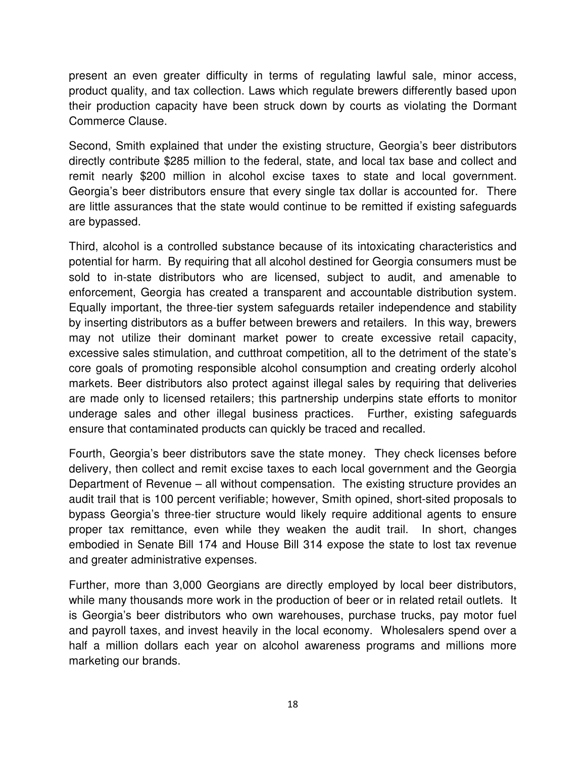present an even greater difficulty in terms of regulating lawful sale, minor access, product quality, and tax collection. Laws which regulate brewers differently based upon their production capacity have been struck down by courts as violating the Dormant Commerce Clause.

Second, Smith explained that under the existing structure, Georgia's beer distributors directly contribute \$285 million to the federal, state, and local tax base and collect and remit nearly \$200 million in alcohol excise taxes to state and local government. Georgia's beer distributors ensure that every single tax dollar is accounted for. There are little assurances that the state would continue to be remitted if existing safeguards are bypassed.

Third, alcohol is a controlled substance because of its intoxicating characteristics and potential for harm. By requiring that all alcohol destined for Georgia consumers must be sold to in-state distributors who are licensed, subject to audit, and amenable to enforcement, Georgia has created a transparent and accountable distribution system. Equally important, the three-tier system safeguards retailer independence and stability by inserting distributors as a buffer between brewers and retailers. In this way, brewers may not utilize their dominant market power to create excessive retail capacity, excessive sales stimulation, and cutthroat competition, all to the detriment of the state's core goals of promoting responsible alcohol consumption and creating orderly alcohol markets. Beer distributors also protect against illegal sales by requiring that deliveries are made only to licensed retailers; this partnership underpins state efforts to monitor underage sales and other illegal business practices. Further, existing safeguards ensure that contaminated products can quickly be traced and recalled.

Fourth, Georgia's beer distributors save the state money. They check licenses before delivery, then collect and remit excise taxes to each local government and the Georgia Department of Revenue – all without compensation. The existing structure provides an audit trail that is 100 percent verifiable; however, Smith opined, short-sited proposals to bypass Georgia's three-tier structure would likely require additional agents to ensure proper tax remittance, even while they weaken the audit trail. In short, changes embodied in Senate Bill 174 and House Bill 314 expose the state to lost tax revenue and greater administrative expenses.

Further, more than 3,000 Georgians are directly employed by local beer distributors, while many thousands more work in the production of beer or in related retail outlets. It is Georgia's beer distributors who own warehouses, purchase trucks, pay motor fuel and payroll taxes, and invest heavily in the local economy. Wholesalers spend over a half a million dollars each year on alcohol awareness programs and millions more marketing our brands.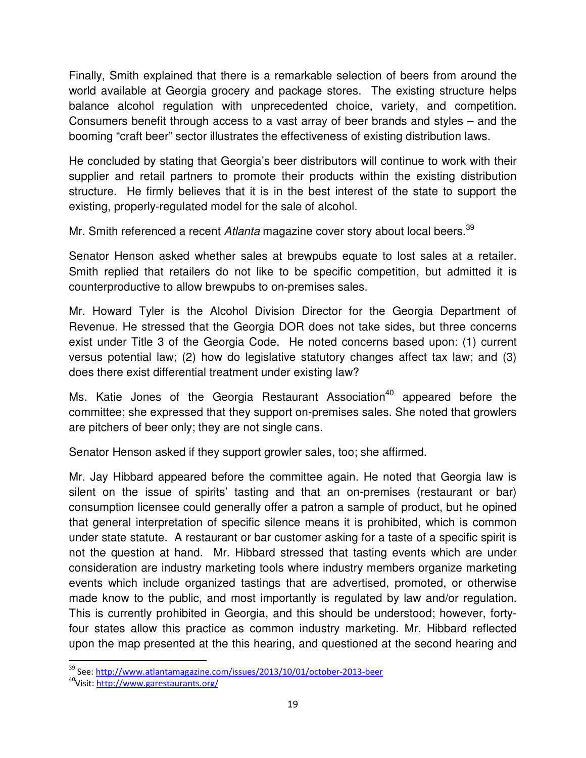Finally, Smith explained that there is a remarkable selection of beers from around the world available at Georgia grocery and package stores. The existing structure helps balance alcohol regulation with unprecedented choice, variety, and competition. Consumers benefit through access to a vast array of beer brands and styles – and the booming "craft beer" sector illustrates the effectiveness of existing distribution laws.

He concluded by stating that Georgia's beer distributors will continue to work with their supplier and retail partners to promote their products within the existing distribution structure. He firmly believes that it is in the best interest of the state to support the existing, properly-regulated model for the sale of alcohol.

Mr. Smith referenced a recent Atlanta magazine cover story about local beers.<sup>39</sup>

Senator Henson asked whether sales at brewpubs equate to lost sales at a retailer. Smith replied that retailers do not like to be specific competition, but admitted it is counterproductive to allow brewpubs to on-premises sales.

Mr. Howard Tyler is the Alcohol Division Director for the Georgia Department of Revenue. He stressed that the Georgia DOR does not take sides, but three concerns exist under Title 3 of the Georgia Code. He noted concerns based upon: (1) current versus potential law; (2) how do legislative statutory changes affect tax law; and (3) does there exist differential treatment under existing law?

Ms. Katie Jones of the Georgia Restaurant Association<sup>40</sup> appeared before the committee; she expressed that they support on-premises sales. She noted that growlers are pitchers of beer only; they are not single cans.

Senator Henson asked if they support growler sales, too; she affirmed.

Mr. Jay Hibbard appeared before the committee again. He noted that Georgia law is silent on the issue of spirits' tasting and that an on-premises (restaurant or bar) consumption licensee could generally offer a patron a sample of product, but he opined that general interpretation of specific silence means it is prohibited, which is common under state statute. A restaurant or bar customer asking for a taste of a specific spirit is not the question at hand. Mr. Hibbard stressed that tasting events which are under consideration are industry marketing tools where industry members organize marketing events which include organized tastings that are advertised, promoted, or otherwise made know to the public, and most importantly is regulated by law and/or regulation. This is currently prohibited in Georgia, and this should be understood; however, fortyfour states allow this practice as common industry marketing. Mr. Hibbard reflected upon the map presented at the this hearing, and questioned at the second hearing and

<sup>&</sup>lt;sup>39</sup> See: http://www.atlantamagazine.com/issues/2013/10/01/october-2013-beer

<sup>&</sup>lt;sup>40</sup>Visit: http://www.garestaurants.org/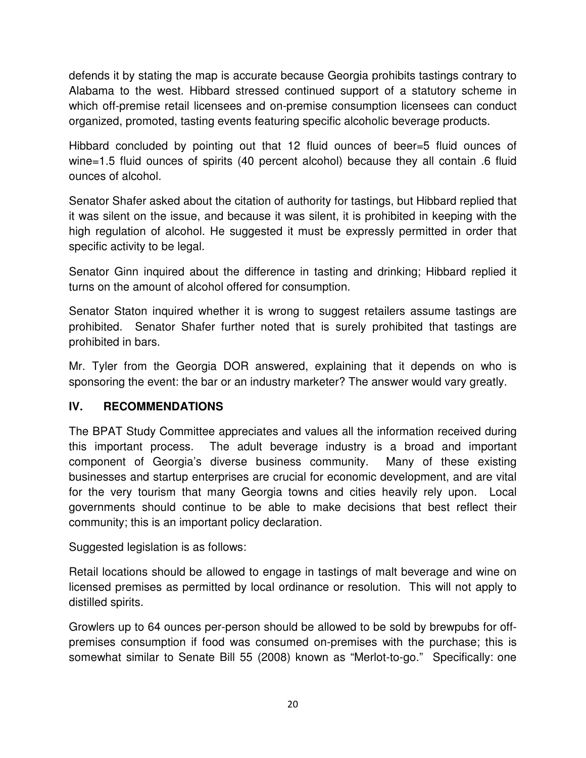defends it by stating the map is accurate because Georgia prohibits tastings contrary to Alabama to the west. Hibbard stressed continued support of a statutory scheme in which off-premise retail licensees and on-premise consumption licensees can conduct organized, promoted, tasting events featuring specific alcoholic beverage products.

Hibbard concluded by pointing out that 12 fluid ounces of beer=5 fluid ounces of wine=1.5 fluid ounces of spirits (40 percent alcohol) because they all contain .6 fluid ounces of alcohol.

Senator Shafer asked about the citation of authority for tastings, but Hibbard replied that it was silent on the issue, and because it was silent, it is prohibited in keeping with the high regulation of alcohol. He suggested it must be expressly permitted in order that specific activity to be legal.

Senator Ginn inquired about the difference in tasting and drinking; Hibbard replied it turns on the amount of alcohol offered for consumption.

Senator Staton inquired whether it is wrong to suggest retailers assume tastings are prohibited. Senator Shafer further noted that is surely prohibited that tastings are prohibited in bars.

Mr. Tyler from the Georgia DOR answered, explaining that it depends on who is sponsoring the event: the bar or an industry marketer? The answer would vary greatly.

#### **IV. RECOMMENDATIONS**

The BPAT Study Committee appreciates and values all the information received during this important process. The adult beverage industry is a broad and important component of Georgia's diverse business community. Many of these existing businesses and startup enterprises are crucial for economic development, and are vital for the very tourism that many Georgia towns and cities heavily rely upon. Local governments should continue to be able to make decisions that best reflect their community; this is an important policy declaration.

Suggested legislation is as follows:

Retail locations should be allowed to engage in tastings of malt beverage and wine on licensed premises as permitted by local ordinance or resolution. This will not apply to distilled spirits.

Growlers up to 64 ounces per-person should be allowed to be sold by brewpubs for offpremises consumption if food was consumed on-premises with the purchase; this is somewhat similar to Senate Bill 55 (2008) known as "Merlot-to-go." Specifically: one